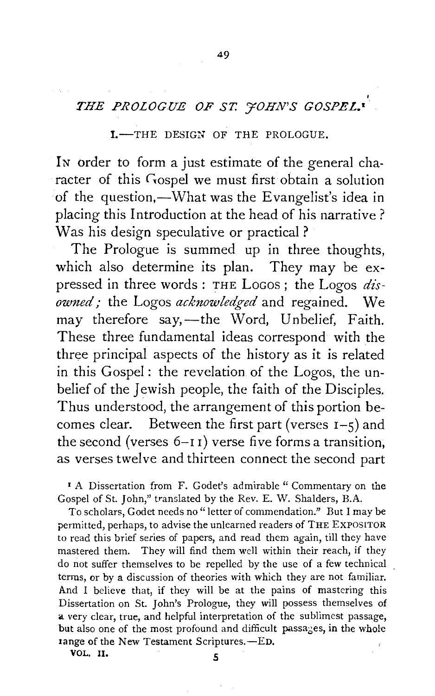## *THE PROLOGUE OF ST. 70HN'S GOSPEL.•*

49

## I.-THE DESIGN OF THE PROLOGUE.

In order to form a just estimate of the general character of this Gospel we must first obtain a solution of the question,—What was the Evangelist's idea in placing this Introduction at the head of his narrative? Was his design speculative or practical ?

The Prologue is summed up in three thoughts, which also determine its plan. They may be expressed in three words : THE LoGos ; the Logos *disowned;* the Logos *acknowledged* and regained. We may therefore say,—the Word, Unbelief, Faith. These three fundamental ideas correspond with the three principal aspects of the history as it is related in this Gospel : the revelation of the Logos, the unbelief of the Jewish people, the faith of the Disciples. Thus understood, the arrangement of this portion becomes clear. Between the first part (verses  $I-5$ ) and the second (verses  $6-11$ ) verse five forms a transition. as verses twelve and thirteen connect the second part

<sup>1</sup> A Dissertation from F. Godet's admirable " Commentary on the Gospel of St. John," translated by the Rev. E. W. Shalders, B.A.

To scholars, Godet needs no "letter of commendation." But I may be permitted, perhaps, to advise the unlearned readers of THE EXPOSITOR to read this brief series of papers, and read them again, till they have mastered them. They will find them well within their reach, if they do not suffer themselves to be repelled by the use of a few technical terms, or by a discussion of theories with which they are not familiar. And I believe that, if they will be at the pains of mastering this Dissertation on St. John's Prologue, they will possess themselves of a very clear, true, and helpful interpretation of the sublimest passage, but also one of the most profound and difficult passages, in the whole tange of the New Testament Scriptures.-ED.

VOL. II.  $\qquad \qquad$  5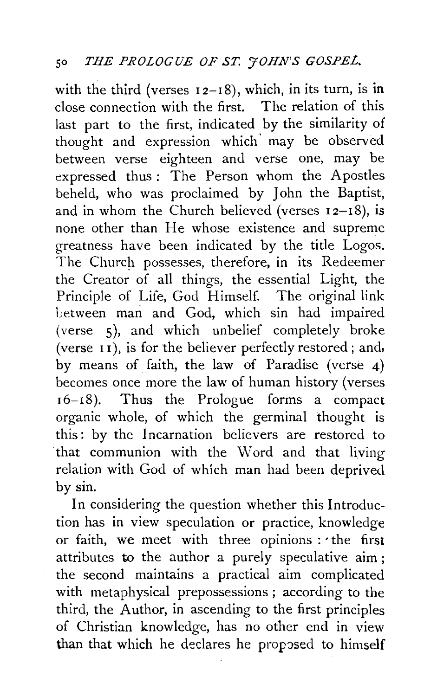with the third (verses  $12-18$ ), which, in its turn, is in close connection with the first. The relation of this last part to the first, indicated by the similarity of thought and expression which· may be observed between verse eighteen and verse one, may be expressed thus : The Person whom the Apostles beheld, who was proclaimed by John the Baptist, and in whom the Church believed (verses  $12-18$ ), is none other than He whose existence and supreme greatness have been indicated by the title Logos. The Church possesses, therefore, in its Redeemer the Creator of all things, the essential Light, the Principle of Life, God Himself. The original link Letween man and God, which sin had impaired (verse 5), and which unbelief completely broke (verse 1 1), is for the believer perfectly restored; and, by means of faith, the law of Paradise (verse 4) becomes once more the law of human history (verses r6-18). Thus the Prologue forms a compact organic whole, of which the germinal thought is this: by the Incarnation believers are restored to that communion with the Word and that living relation with God of which man had been deprived by sin.

In considering the question whether this Introduction has in view speculation or practice, knowledge or faith, we meet with three opinions : the first attributes to the author a purely speculative aim; the second maintains a practical aim complicated with metaphysical prepossessions ; according to the third, the Author, in ascending to the first principles of Christian knowledge, has no other end in view than that which he declares he proposed to himself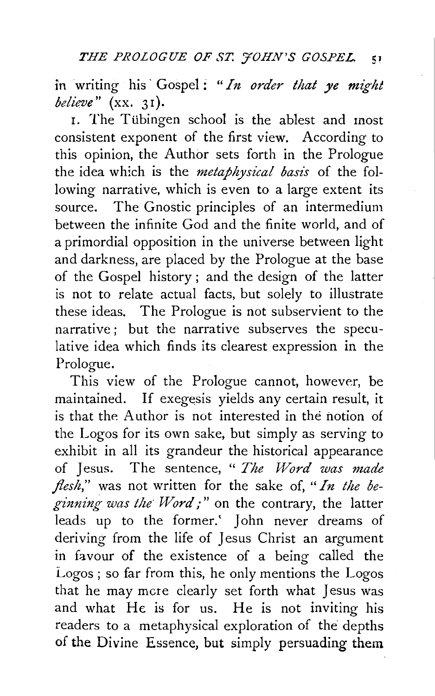in writing his· Gospel: *"In order that ye might*  believe"  $(xx. 31)$ .

1. The Ttibingen school is the ablest and most consistent exponent of the first view. According to this opinion, the Author sets forth in the Prologue the idea which is the *metaphysical basis* of the following narrative, which is even to a large extent its source. The Gnostic principles of an intermedium between the infinite God and the finite world, and of a primordial opposition in the universe between light and darkness, are placed by the Prologue at the base of the Gospel history ; and the design of the latter is not to relate actual facts, but solely to illustrate these ideas. The Prologue is not subservient to the narrative; but the narrative subserves the speculative idea which finds its clearest expression in the Prologue.

This view of the Prologue cannot, however, be maintained. If exegesis yields any certain result, it is that the Author is not interested in the notion of the Logos for its own sake, but simply as serving to exhibit in all its grandeur the historical appearance of Jesus. The sentence, " *The Word was made flesh,"* was not written for the sake of, *"In the beginning was the· Word;"* on the contrary, the latter leads up to the former.' John never dreams of deriving from the life of Jesus Christ an argument in favour of the existence of a being called the Logos; so far from this, he only mentions the Logos that he may mere clearly set forth what Jesus was and what He is for us. He is not inviting his readers to a metaphysical exploration of the depths of the Divine Essence, but simply persuading them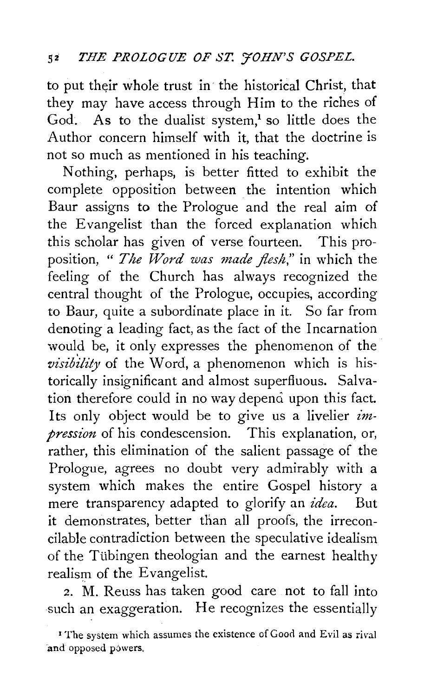to put their whole trust in the historical Christ, that they may have access through Him to the riches of God. As to the dualist system, $<sup>1</sup>$  so little does the</sup> Author concern himself with it, that the doctrine is not so much as mentioned in his teaching.

Nothing, perhaps, is better fitted to exhibit the complete opposition between the intention which Baur assigns to the Prologue and the real aim of the Evangelist than the forced explanation which this scholar has given of verse fourteen. This proposition, " *The Word was made flesh,"* in which the feeling of the Church has always recognized the central thought of the Prologue, occupies, according to Baur, quite a subordinate place in it. So far from denoting a leading fact, as the fact of the Incarnation would be, it only expresses the phenomenon of the *visibility* of the Word, a phenomenon which is historically insignificant and almost superfluous. Salvation therefore could in no way depend upon this fact. Its only object would be to give us a livelier *impression* of his condescension. This explanation, or, rather, this elimination of the salient passage of the Prologue, agrees no doubt very admirably with a system which makes the entire Gospel history a mere transparency adapted to glorify an *idea.* But it demonstrates, better than all proofs, the irreconcilable contradiction between the speculative idealism of the Tubingen theologian and the earnest healthy realism of the Evangelist.

2. M. Reuss has taken good care not to fall into such an exaggeration. He recognizes the essentially

<sup>&</sup>lt;sup>1</sup> The system which assumes the existence of Good and Evil as rival and opposed powers.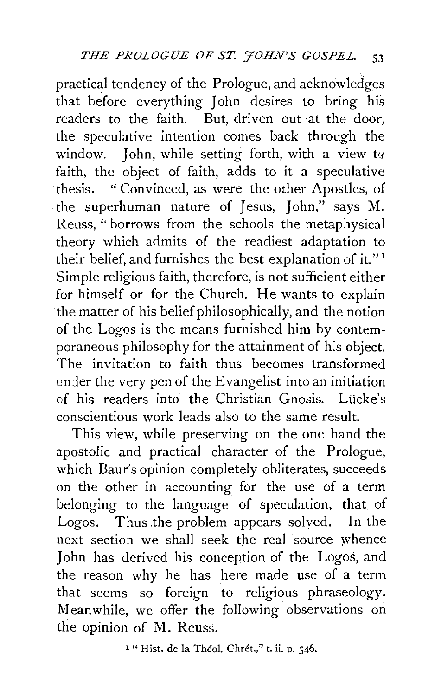practical tendency of the Prologue, and acknowledges that before everything John desires to bring his readers to the faith. But, driven out at the door, the speculative intention comes back through the window. John, while setting forth, with a view to faith, the object of faith, adds to it a speculative thesis. "Convinced, as were the other Apostles, of the superhuman nature of Jesus, John," says M. Reuss, "borrows from the schools the metaphysical theory which admits of the readiest adaptation to their belief, and furnishes the best explanation of it."<sup>1</sup> Simple religious faith, therefore, is not sufficient either for himself or for the Church. He wants to explain the matter of his belief philosophically, and the notion of the Logos is the means furnished him by contemporaneous philosophy for the attainment of h:s object. The invitation to faith thus becomes transformed tinder the very pen of the Evangelist into an initiation of his readers into the Christian Gnosis. Lücke's conscientious work leads also to the same result.

This view, while preserving on the one hand the apostolic and practical character of the Prologue, which Baur's opinion completely obliterates, succeeds on the other in accounting for the use of a term belonging to the language of speculation, that of Logos. Thus the problem appears solved. In the next section we shall seek the real source whence John has derived his conception of the Logos, and the reason why he has here made use of a term that seems so foreign to religious phraseology. Meanwhile, we offer the following observations on the opinion of M. Reuss.

<sup>1</sup> " Hist. de la Théol. Chrét.," t. ii. p. 346.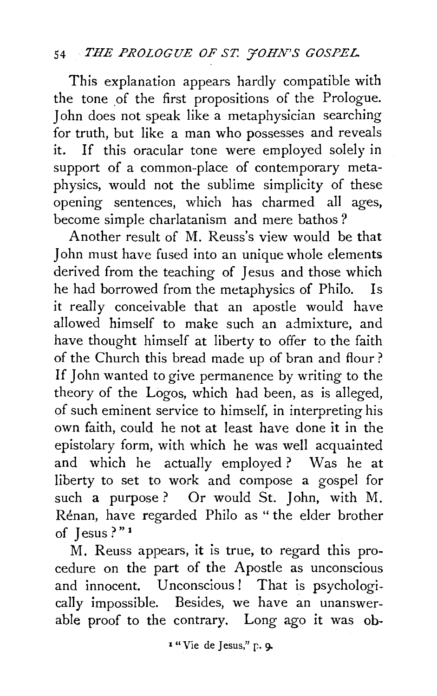## 54 *THE PROLOGUE OF ST. FOHN'S GOSPEL*

This explanation appears hardly compatible with the tone of the first propositions of the Prologue. John does not speak like a metaphysician searching for truth, but like a man who possesses and reveals it. If this oracular tone were employed solely in support of a common-place of contemporary metaphysics, would not the sublime simplicity of these opening sentences, which has charmed all ages, become simple charlatanism and mere bathos *?* 

Another result of M. Reuss's view would be that John must have fused into an unique whole elements derived from the teaching of Jesus and those which he had borrowed from the metaphysics of Philo. Is it really conceivable that an apostle would have allowed himself to make such an admixture, and have thought himself at liberty to offer to the faith of the Church this bread made up of bran and flour? If John wanted to give permanence by writing to the theory of the Logos, which had been, as is alleged, of such eminent service to himself, in interpreting his own faith, could he not at least have done it in the epistolary form, with which he was well acquainted and which he actually employed? Was he at liberty to set to work and compose a gospel for such a purpose? Or would St. John, with M. Renan, have regarded Philo as " the elder brother of Jesus ? " 1

M. Reuss appears, it is true, to regard this procedure on the part of the Apostle as unconscious and innocent. Unconscious ! That is psychologically impossible. Besides, we have an unanswerable proof to the contrary. Long ago it was ob-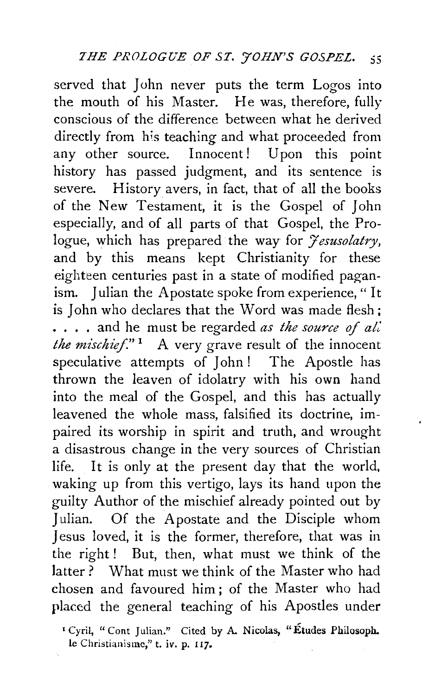served that John never puts the term Logos into the mouth of his Master. He was, therefore, fully conscious of the difference between what he derived directly from his teaching and what proceeded from any other source. Innocent! Upon this point history has passed judgment, and its sentence is severe. History avers, in fact, that of all the books of the New Testament, it is the Gospel of John especially, and of all parts of that Gospel, the Prologue, which has prepared the way for *Jesusolatry*, and by this means kept Christianity for these eighteen centuries past in a state of modified paganism. Julian the Apostate spoke from experience, "It is John who declares that the Word was made flesh ; . . . . and he must be regarded *as the source* of *aL' the mischief.*"<sup>1</sup> A very grave result of the innocent speculative attempts of John ! The Apostle has thrown the leaven of idolatry with his own hand into the meal of the Gospel, and this has actually leavened the whole mass, falsified its doctrine, impaired its worship in spirit and truth, and wrought a disastrous change in the very sources of Christian life. It is only at the present day that the world, waking up from this vertigo, lays its hand upon the guilty Author of the mischief already pointed out by Julian. Of the Apostate and the Disciple whom Jesus loved, it is the former, therefore, that was in the right! But, then, what must we think of the latter ? What must we think of the Master who had chosen and favoured him; of the Master who had placed the general teaching of his Apostles under

<sup>1</sup> Cyril, "Cont Julian." Cited by A. Nicolas, "Etudes Philosoph. le Christianisme," t. *iv.* p. 11].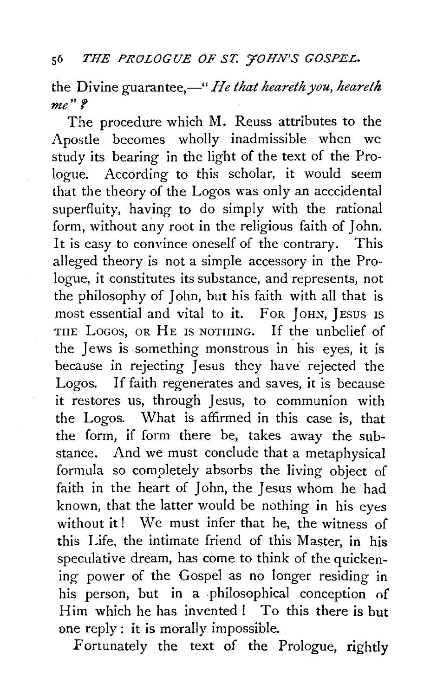the Divine guarantee,—" *He that heareth you, heareth me"* f

The procedure which M. Reuss attributes to the Apostle becomes wholly inadmissible when we study its bearing in the light of the text of the Prologue. According to this scholar, it would seem that the theory of the Logos was only an acccidental superfluity, having to do simply with the rational form, without any root in the religious faith of John. It is easy to convince oneself of the contrary. This alleged theory is not a simple accessory in the Prologue, it constitutes its substance, and represents, not the philosophy of John, but his faith with all that is most essential and vital to it. FOR JOHN, JEsus IS THE LOGOS, OR HE IS NOTHING. If the unbelief of the Jews is something monstrous in his eyes, it is because in rejecting Jesus they have rejected the Logos. If faith regenerates and saves, it is because it restores us, through Jesus, to communion with the Logos. \Vhat is affirmed in this case is, that the form, if form there be, takes away the substance. And we must conclude that a metaphysical formula so completely absorbs the living object of faith in the heart of John, the Jesus whom he had known, that the latter would be nothing in his eyes without it! We must infer that he, the witness of this Life, the intimate friend of this Master, in his speculative dream, has come to think of the quickening power of the Gospel as no longer residing in his person, but in a philosophical conception of Him which he has invented! To this there is but one reply : it is morally impossible.

Fortunately the text of the Prologue, rightly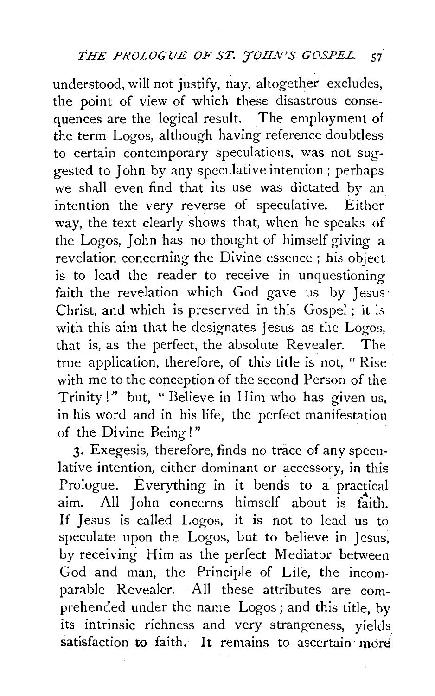understood, will not justify, nay, altogether excludes, the point of view of which these disastrous consequences are the logical result. The employment of the term Logos, although having reference doubtless to certain contemporary speculations, was not suggested to John by any speculative intention; perhaps we shall even find that its use was dictated by an intention the very reverse of speculative. Either way, the text clearly shows that, when he speaks of the Logos, John has no thought of himself giving a revelation concerning the Divine essence ; his object is to lead the reader to receive in unquestioning faith the revelation which God gave us by Jesus· Christ, and which is preserved in this Gospel ; it is with this aim that he designates Jesus as the Logos, that is, as the perfect, the absolute Revealer. The true application, therefore, of this title is not, " Rise with me to the conception of the second Person of the Trinity!" but, " Believe in Him who has given us, in his word and in his life, the perfect manifestation of the Divine Being!"

3· Exegesis, therefore, finds no trace of any speculative intention, either dominant or accessory, in this Prologue. Everything in it bends to a practical aim. All John concerns himself about is faith. If Jesus is called Logos, it is not to lead us to speculate upon the Logos, but to believe in Jesus, by receiving Him as the perfect Mediator between God and man, the Principle of Life, the incomparable Revealer. All these attributes are comprehended under the name Logos ; and this title, by its intrinsic richness and very strangeness, yields satisfaction to faith. It remains to ascertain more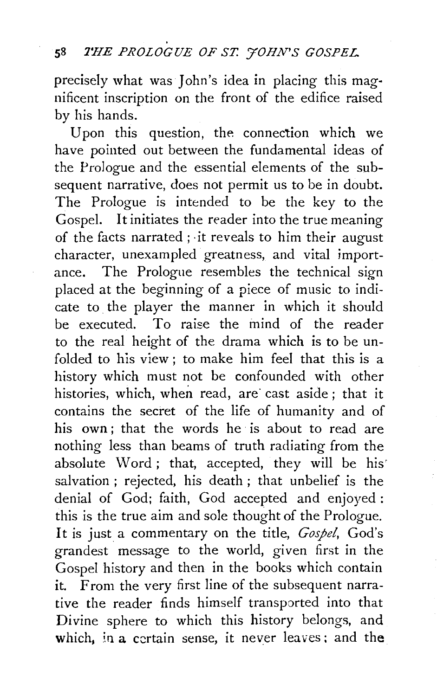precisely what was John's idea in placing this mag· nificent inscription on the front of the edifice raised by his hands.

Upon this question, the connection which we have pointed out between the fundamental ideas of the Prologue and the essential elements of the subsequent narrative, does not permit us to be in doubt. The Prologue is intended to be the key to the Gospel. It initiates the reader into the true meaning of the facts narrated ; ·it reveals to him their august character, unexampled greatness, and vital importance. The Prologue resembles the technical sign placed at the beginning of a piece of music to indicate to the player the manner in which it should be executed. To raise the mind of the reader to the real height of the drama which is to be unfolded to his view ; to make him feel that this is a history which must not be confounded with other histories, which, when read, are cast aside; that it contains the secret of the life of humanity and of his own; that the words he is about to read are nothing less than beams of truth radiating from the absolute Word; that, accepted, they will be his salvation ; rejected, his death ; that unbelief is the denial of God; faith, God accepted and enjoyed: this is the true aim and sole thought of the Prologue. It is just a commentary on the title, *Gospel,* God's grandest message to the world, given first in the Gospel history and then in the books which contain it. From the very first line of the subsequent narrative the reader finds himself transported into that Divine sphere to which this history belongs, and which, in a certain sense, it never leaves; and the